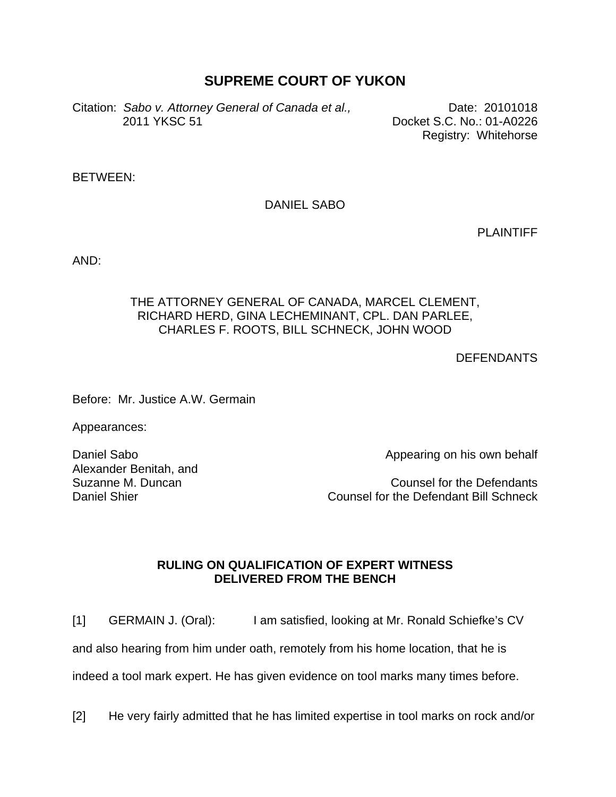## **SUPREME COURT OF YUKON**

Citation: Sabo v. Attorney General of Canada et al., **Date: 20101018** 2011 YKSC 51 Docket S.C. No.: 01-A0226

Registry: Whitehorse

BETWEEN:

DANIEL SABO

PLAINTIFF

AND:

## THE ATTORNEY GENERAL OF CANADA, MARCEL CLEMENT, RICHARD HERD, GINA LECHEMINANT, CPL. DAN PARLEE, CHARLES F. ROOTS, BILL SCHNECK, JOHN WOOD

**DEFENDANTS** 

Before: Mr. Justice A.W. Germain

Appearances:

Daniel Sabo Alexander Benitah, and Suzanne M. Duncan Daniel Shier

Appearing on his own behalf

Counsel for the Defendants Counsel for the Defendant Bill Schneck

## **RULING ON QUALIFICATION OF EXPERT WITNESS DELIVERED FROM THE BENCH**

[1] GERMAIN J. (Oral): I am satisfied, looking at Mr. Ronald Schiefke's CV

and also hearing from him under oath, remotely from his home location, that he is

indeed a tool mark expert. He has given evidence on tool marks many times before.

[2] He very fairly admitted that he has limited expertise in tool marks on rock and/or